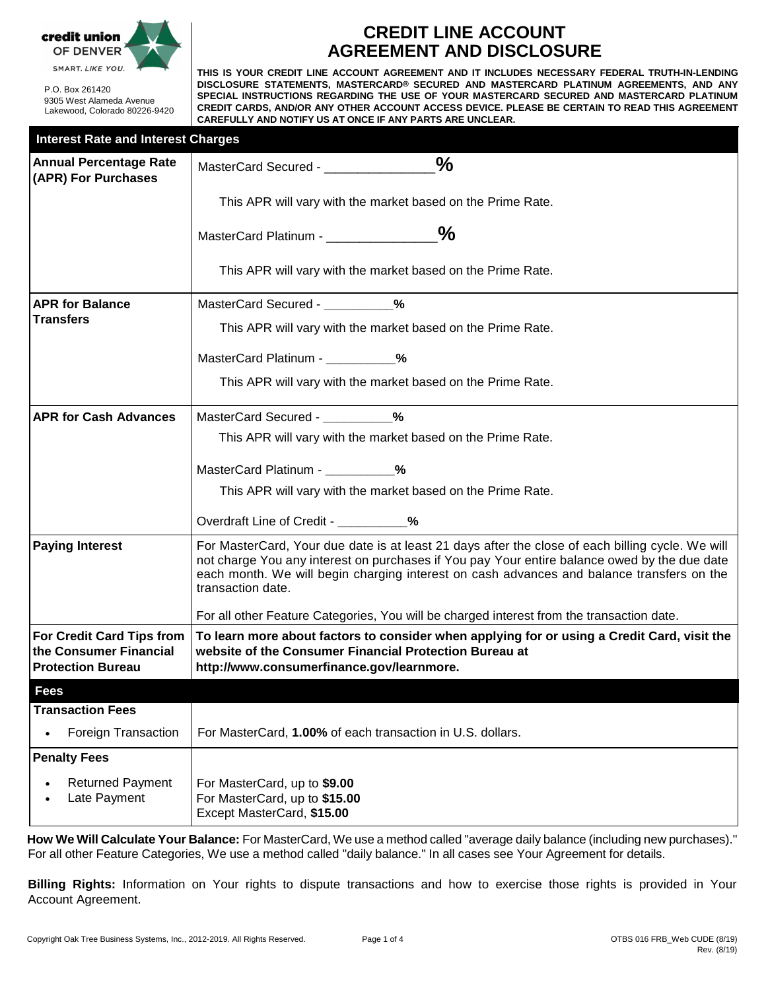

P.O. Box 261420 9305 West Alameda Avenue Lakewood, Colorado 80226-9420

# **CREDIT LINE ACCOUNT AGREEMENT AND DISCLOSURE**

**THIS IS YOUR CREDIT LINE ACCOUNT AGREEMENT AND IT INCLUDES NECESSARY FEDERAL TRUTH-IN-LENDING DISCLOSURE STATEMENTS, MASTERCARD® SECURED AND MASTERCARD PLATINUM AGREEMENTS, AND ANY SPECIAL INSTRUCTIONS REGARDING THE USE OF YOUR MASTERCARD SECURED AND MASTERCARD PLATINUM CREDIT CARDS, AND/OR ANY OTHER ACCOUNT ACCESS DEVICE. PLEASE BE CERTAIN TO READ THIS AGREEMENT CAREFULLY AND NOTIFY US AT ONCE IF ANY PARTS ARE UNCLEAR.**

| <b>Interest Rate and Interest Charges</b>                                              |                                                                                                                                                                                                                                                                                                                    |  |  |  |
|----------------------------------------------------------------------------------------|--------------------------------------------------------------------------------------------------------------------------------------------------------------------------------------------------------------------------------------------------------------------------------------------------------------------|--|--|--|
| <b>Annual Percentage Rate</b><br>(APR) For Purchases                                   | $\%$<br>MasterCard Secured - ________                                                                                                                                                                                                                                                                              |  |  |  |
|                                                                                        | This APR will vary with the market based on the Prime Rate.                                                                                                                                                                                                                                                        |  |  |  |
|                                                                                        | MasterCard Platinum - ____________________%                                                                                                                                                                                                                                                                        |  |  |  |
|                                                                                        | This APR will vary with the market based on the Prime Rate.                                                                                                                                                                                                                                                        |  |  |  |
| <b>APR for Balance</b>                                                                 | MasterCard Secured - 2%                                                                                                                                                                                                                                                                                            |  |  |  |
| <b>Transfers</b>                                                                       | This APR will vary with the market based on the Prime Rate.                                                                                                                                                                                                                                                        |  |  |  |
|                                                                                        | MasterCard Platinum - ___________%                                                                                                                                                                                                                                                                                 |  |  |  |
|                                                                                        | This APR will vary with the market based on the Prime Rate.                                                                                                                                                                                                                                                        |  |  |  |
| <b>APR for Cash Advances</b>                                                           | MasterCard Secured - 2%                                                                                                                                                                                                                                                                                            |  |  |  |
|                                                                                        | This APR will vary with the market based on the Prime Rate.                                                                                                                                                                                                                                                        |  |  |  |
|                                                                                        | MasterCard Platinum - 2%                                                                                                                                                                                                                                                                                           |  |  |  |
|                                                                                        | This APR will vary with the market based on the Prime Rate.                                                                                                                                                                                                                                                        |  |  |  |
|                                                                                        | Overdraft Line of Credit - ___________%                                                                                                                                                                                                                                                                            |  |  |  |
| <b>Paying Interest</b>                                                                 | For MasterCard, Your due date is at least 21 days after the close of each billing cycle. We will<br>not charge You any interest on purchases if You pay Your entire balance owed by the due date<br>each month. We will begin charging interest on cash advances and balance transfers on the<br>transaction date. |  |  |  |
|                                                                                        | For all other Feature Categories, You will be charged interest from the transaction date.                                                                                                                                                                                                                          |  |  |  |
| <b>For Credit Card Tips from</b><br>the Consumer Financial<br><b>Protection Bureau</b> | To learn more about factors to consider when applying for or using a Credit Card, visit the<br>website of the Consumer Financial Protection Bureau at<br>http://www.consumerfinance.gov/learnmore.                                                                                                                 |  |  |  |
| <b>Fees</b>                                                                            |                                                                                                                                                                                                                                                                                                                    |  |  |  |
| <b>Transaction Fees</b>                                                                |                                                                                                                                                                                                                                                                                                                    |  |  |  |
| Foreign Transaction                                                                    | For MasterCard, 1.00% of each transaction in U.S. dollars.                                                                                                                                                                                                                                                         |  |  |  |
| <b>Penalty Fees</b>                                                                    |                                                                                                                                                                                                                                                                                                                    |  |  |  |
| <b>Returned Payment</b><br>Late Payment                                                | For MasterCard, up to \$9.00<br>For MasterCard, up to \$15.00<br>Except MasterCard, \$15.00                                                                                                                                                                                                                        |  |  |  |
|                                                                                        |                                                                                                                                                                                                                                                                                                                    |  |  |  |

**How We Will Calculate Your Balance:** For MasterCard, We use a method called "average daily balance (including new purchases)." For all other Feature Categories, We use a method called "daily balance." In all cases see Your Agreement for details.

**Billing Rights:** Information on Your rights to dispute transactions and how to exercise those rights is provided in Your Account Agreement.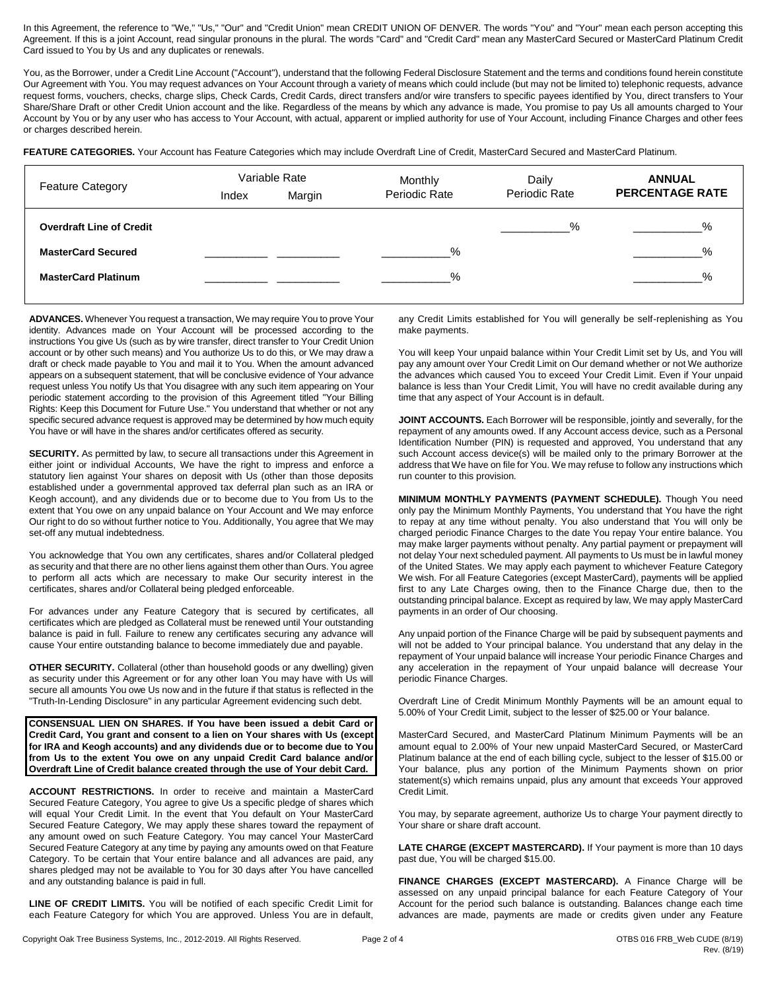In this Agreement, the reference to "We," "Us," "Our" and "Credit Union" mean CREDIT UNION OF DENVER. The words "You" and "Your" mean each person accepting this Agreement. If this is a joint Account, read singular pronouns in the plural. The words "Card" and "Credit Card" mean any MasterCard Secured or MasterCard Platinum Credit Card issued to You by Us and any duplicates or renewals.

You, as the Borrower, under a Credit Line Account ("Account"), understand that the following Federal Disclosure Statement and the terms and conditions found herein constitute Our Agreement with You. You may request advances on Your Account through a variety of means which could include (but may not be limited to) telephonic requests, advance request forms, vouchers, checks, charge slips, Check Cards, Credit Cards, direct transfers and/or wire transfers to specific payees identified by You, direct transfers to Your Share/Share Draft or other Credit Union account and the like. Regardless of the means by which any advance is made, You promise to pay Us all amounts charged to Your Account by You or by any user who has access to Your Account, with actual, apparent or implied authority for use of Your Account, including Finance Charges and other fees or charges described herein.

FEATURE CATEGORIES. Your Account has Feature Categories which may include Overdraft Line of Credit, MasterCard Secured and MasterCard Platinum.

| <b>Feature Category</b>         | Variable Rate |        | Monthly       | Daily         | <b>ANNUAL</b>          |
|---------------------------------|---------------|--------|---------------|---------------|------------------------|
|                                 | Index         | Margin | Periodic Rate | Periodic Rate | <b>PERCENTAGE RATE</b> |
| <b>Overdraft Line of Credit</b> |               |        |               | %             | $\%$                   |
| <b>MasterCard Secured</b>       |               |        | $\%$          |               | $\frac{1}{2}$          |
| <b>MasterCard Platinum</b>      |               |        | $\%$          |               | $\%$                   |

**ADVANCES.** Whenever You request a transaction, We may require You to prove Your identity. Advances made on Your Account will be processed according to the instructions You give Us (such as by wire transfer, direct transfer to Your Credit Union account or by other such means) and You authorize Us to do this, or We may draw a draft or check made payable to You and mail it to You. When the amount advanced appears on a subsequent statement, that will be conclusive evidence of Your advance request unless You notify Us that You disagree with any such item appearing on Your periodic statement according to the provision of this Agreement titled "Your Billing Rights: Keep this Document for Future Use." You understand that whether or not any specific secured advance request is approved may be determined by how much equity You have or will have in the shares and/or certificates offered as security.

**SECURITY.** As permitted by law, to secure all transactions under this Agreement in either joint or individual Accounts, We have the right to impress and enforce a statutory lien against Your shares on deposit with Us (other than those deposits established under a governmental approved tax deferral plan such as an IRA or Keogh account), and any dividends due or to become due to You from Us to the extent that You owe on any unpaid balance on Your Account and We may enforce Our right to do so without further notice to You. Additionally, You agree that We may set-off any mutual indebtedness.

You acknowledge that You own any certificates, shares and/or Collateral pledged as security and that there are no other liens against them other than Ours. You agree to perform all acts which are necessary to make Our security interest in the certificates, shares and/or Collateral being pledged enforceable.

For advances under any Feature Category that is secured by certificates, all certificates which are pledged as Collateral must be renewed until Your outstanding balance is paid in full. Failure to renew any certificates securing any advance will cause Your entire outstanding balance to become immediately due and payable.

**OTHER SECURITY.** Collateral (other than household goods or any dwelling) given as security under this Agreement or for any other loan You may have with Us will secure all amounts You owe Us now and in the future if that status is reflected in the "Truth-In-Lending Disclosure" in any particular Agreement evidencing such debt.

**CONSENSUAL LIEN ON SHARES. If You have been issued a debit Card or Credit Card, You grant and consent to a lien on Your shares with Us (except for IRA and Keogh accounts) and any dividends due or to become due to You from Us to the extent You owe on any unpaid Credit Card balance and/or Overdraft Line of Credit balance created through the use of Your debit Card.**

**ACCOUNT RESTRICTIONS.** In order to receive and maintain a MasterCard Secured Feature Category, You agree to give Us a specific pledge of shares which will equal Your Credit Limit. In the event that You default on Your MasterCard Secured Feature Category, We may apply these shares toward the repayment of any amount owed on such Feature Category. You may cancel Your MasterCard Secured Feature Category at any time by paying any amounts owed on that Feature Category. To be certain that Your entire balance and all advances are paid, any shares pledged may not be available to You for 30 days after You have cancelled and any outstanding balance is paid in full.

**LINE OF CREDIT LIMITS.** You will be notified of each specific Credit Limit for each Feature Category for which You are approved. Unless You are in default, any Credit Limits established for You will generally be self-replenishing as You make payments.

You will keep Your unpaid balance within Your Credit Limit set by Us, and You will pay any amount over Your Credit Limit on Our demand whether or not We authorize the advances which caused You to exceed Your Credit Limit. Even if Your unpaid balance is less than Your Credit Limit, You will have no credit available during any time that any aspect of Your Account is in default.

**JOINT ACCOUNTS.** Each Borrower will be responsible, jointly and severally, for the repayment of any amounts owed. If any Account access device, such as a Personal Identification Number (PIN) is requested and approved, You understand that any such Account access device(s) will be mailed only to the primary Borrower at the address that We have on file for You. We may refuse to follow any instructions which run counter to this provision.

**MINIMUM MONTHLY PAYMENTS (PAYMENT SCHEDULE).** Though You need only pay the Minimum Monthly Payments, You understand that You have the right to repay at any time without penalty. You also understand that You will only be charged periodic Finance Charges to the date You repay Your entire balance. You may make larger payments without penalty. Any partial payment or prepayment will not delay Your next scheduled payment. All payments to Us must be in lawful money of the United States. We may apply each payment to whichever Feature Category We wish. For all Feature Categories (except MasterCard), payments will be applied first to any Late Charges owing, then to the Finance Charge due, then to the outstanding principal balance. Except as required by law, We may apply MasterCard payments in an order of Our choosing.

Any unpaid portion of the Finance Charge will be paid by subsequent payments and will not be added to Your principal balance. You understand that any delay in the repayment of Your unpaid balance will increase Your periodic Finance Charges and any acceleration in the repayment of Your unpaid balance will decrease Your periodic Finance Charges.

Overdraft Line of Credit Minimum Monthly Payments will be an amount equal to 5.00% of Your Credit Limit, subject to the lesser of \$25.00 or Your balance.

MasterCard Secured, and MasterCard Platinum Minimum Payments will be an amount equal to 2.00% of Your new unpaid MasterCard Secured, or MasterCard Platinum balance at the end of each billing cycle, subject to the lesser of \$15.00 or Your balance, plus any portion of the Minimum Payments shown on prior statement(s) which remains unpaid, plus any amount that exceeds Your approved Credit Limit.

You may, by separate agreement, authorize Us to charge Your payment directly to Your share or share draft account.

**LATE CHARGE (EXCEPT MASTERCARD).** If Your payment is more than 10 days past due, You will be charged \$15.00.

**FINANCE CHARGES (EXCEPT MASTERCARD).** A Finance Charge will be assessed on any unpaid principal balance for each Feature Category of Your Account for the period such balance is outstanding. Balances change each time advances are made, payments are made or credits given under any Feature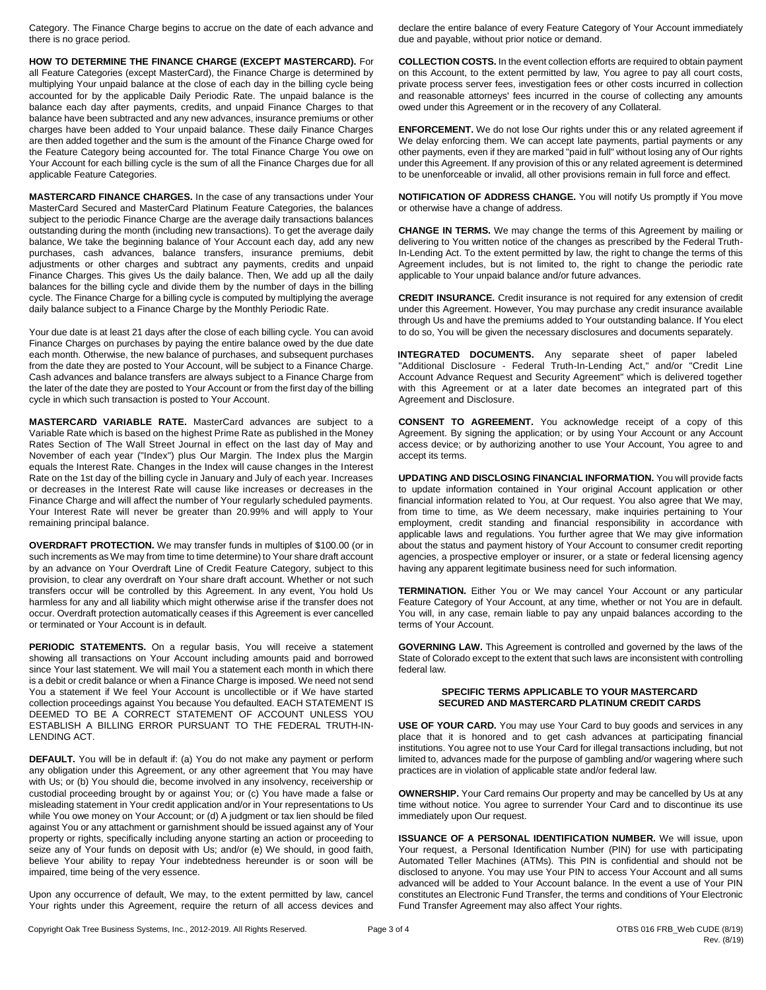Category. The Finance Charge begins to accrue on the date of each advance and there is no grace period.

**HOW TO DETERMINE THE FINANCE CHARGE (EXCEPT MASTERCARD).** For all Feature Categories (except MasterCard), the Finance Charge is determined by multiplying Your unpaid balance at the close of each day in the billing cycle being accounted for by the applicable Daily Periodic Rate. The unpaid balance is the balance each day after payments, credits, and unpaid Finance Charges to that balance have been subtracted and any new advances, insurance premiums or other charges have been added to Your unpaid balance. These daily Finance Charges are then added together and the sum is the amount of the Finance Charge owed for the Feature Category being accounted for. The total Finance Charge You owe on Your Account for each billing cycle is the sum of all the Finance Charges due for all applicable Feature Categories.

**MASTERCARD FINANCE CHARGES.** In the case of any transactions under Your MasterCard Secured and MasterCard Platinum Feature Categories, the balances subject to the periodic Finance Charge are the average daily transactions balances outstanding during the month (including new transactions). To get the average daily balance, We take the beginning balance of Your Account each day, add any new purchases, cash advances, balance transfers, insurance premiums, debit adjustments or other charges and subtract any payments, credits and unpaid Finance Charges. This gives Us the daily balance. Then, We add up all the daily balances for the billing cycle and divide them by the number of days in the billing cycle. The Finance Charge for a billing cycle is computed by multiplying the average daily balance subject to a Finance Charge by the Monthly Periodic Rate.

Your due date is at least 21 days after the close of each billing cycle. You can avoid Finance Charges on purchases by paying the entire balance owed by the due date each month. Otherwise, the new balance of purchases, and subsequent purchases from the date they are posted to Your Account, will be subject to a Finance Charge. Cash advances and balance transfers are always subject to a Finance Charge from the later of the date they are posted to Your Account or from the first day of the billing cycle in which such transaction is posted to Your Account.

**MASTERCARD VARIABLE RATE.** MasterCard advances are subject to a Variable Rate which is based on the highest Prime Rate as published in the Money Rates Section of The Wall Street Journal in effect on the last day of May and November of each year ("Index") plus Our Margin. The Index plus the Margin equals the Interest Rate. Changes in the Index will cause changes in the Interest Rate on the 1st day of the billing cycle in January and July of each year. Increases or decreases in the Interest Rate will cause like increases or decreases in the Finance Charge and will affect the number of Your regularly scheduled payments. Your Interest Rate will never be greater than 20.99% and will apply to Your remaining principal balance.

**OVERDRAFT PROTECTION.** We may transfer funds in multiples of \$100.00 (or in such increments as We may from time to time determine) to Your share draft account by an advance on Your Overdraft Line of Credit Feature Category, subject to this provision, to clear any overdraft on Your share draft account. Whether or not such transfers occur will be controlled by this Agreement. In any event, You hold Us harmless for any and all liability which might otherwise arise if the transfer does not occur. Overdraft protection automatically ceases if this Agreement is ever cancelled or terminated or Your Account is in default.

PERIODIC STATEMENTS. On a regular basis, You will receive a statement showing all transactions on Your Account including amounts paid and borrowed since Your last statement. We will mail You a statement each month in which there is a debit or credit balance or when a Finance Charge is imposed. We need not send You a statement if We feel Your Account is uncollectible or if We have started collection proceedings against You because You defaulted. EACH STATEMENT IS DEEMED TO BE A CORRECT STATEMENT OF ACCOUNT UNLESS YOU ESTABLISH A BILLING ERROR PURSUANT TO THE FEDERAL TRUTH-IN-LENDING ACT.

**DEFAULT.** You will be in default if: (a) You do not make any payment or perform any obligation under this Agreement, or any other agreement that You may have with Us; or (b) You should die, become involved in any insolvency, receivership or custodial proceeding brought by or against You; or (c) You have made a false or misleading statement in Your credit application and/or in Your representations to Us while You owe money on Your Account; or (d) A judgment or tax lien should be filed against You or any attachment or garnishment should be issued against any of Your property or rights, specifically including anyone starting an action or proceeding to seize any of Your funds on deposit with Us; and/or (e) We should, in good faith, believe Your ability to repay Your indebtedness hereunder is or soon will be impaired, time being of the very essence.

Upon any occurrence of default, We may, to the extent permitted by law, cancel Your rights under this Agreement, require the return of all access devices and declare the entire balance of every Feature Category of Your Account immediately due and payable, without prior notice or demand.

**COLLECTION COSTS.** In the event collection efforts are required to obtain payment on this Account, to the extent permitted by law, You agree to pay all court costs, private process server fees, investigation fees or other costs incurred in collection and reasonable attorneys' fees incurred in the course of collecting any amounts owed under this Agreement or in the recovery of any Collateral.

**ENFORCEMENT.** We do not lose Our rights under this or any related agreement if We delay enforcing them. We can accept late payments, partial payments or any other payments, even if they are marked "paid in full" without losing any of Our rights under this Agreement. If any provision of this or any related agreement is determined to be unenforceable or invalid, all other provisions remain in full force and effect.

**NOTIFICATION OF ADDRESS CHANGE.** You will notify Us promptly if You move or otherwise have a change of address.

**CHANGE IN TERMS.** We may change the terms of this Agreement by mailing or delivering to You written notice of the changes as prescribed by the Federal Truth-In-Lending Act. To the extent permitted by law, the right to change the terms of this Agreement includes, but is not limited to, the right to change the periodic rate applicable to Your unpaid balance and/or future advances.

**CREDIT INSURANCE.** Credit insurance is not required for any extension of credit under this Agreement. However, You may purchase any credit insurance available through Us and have the premiums added to Your outstanding balance. If You elect to do so, You will be given the necessary disclosures and documents separately.

**INTEGRATED DOCUMENTS.** Any separate sheet of paper labeled "Additional Disclosure - Federal Truth-In-Lending Act," and/or "Credit Line Account Advance Request and Security Agreement" which is delivered together with this Agreement or at a later date becomes an integrated part of this Agreement and Disclosure.

**CONSENT TO AGREEMENT.** You acknowledge receipt of a copy of this Agreement. By signing the application; or by using Your Account or any Account access device; or by authorizing another to use Your Account, You agree to and accept its terms.

**UPDATING AND DISCLOSING FINANCIAL INFORMATION.** You will provide facts to update information contained in Your original Account application or other financial information related to You, at Our request. You also agree that We may, from time to time, as We deem necessary, make inquiries pertaining to Your employment, credit standing and financial responsibility in accordance with applicable laws and regulations. You further agree that We may give information about the status and payment history of Your Account to consumer credit reporting agencies, a prospective employer or insurer, or a state or federal licensing agency having any apparent legitimate business need for such information.

**TERMINATION.** Either You or We may cancel Your Account or any particular Feature Category of Your Account, at any time, whether or not You are in default. You will, in any case, remain liable to pay any unpaid balances according to the terms of Your Account.

**GOVERNING LAW.** This Agreement is controlled and governed by the laws of the State of Colorado except to the extent that such laws are inconsistent with controlling federal law.

## **SPECIFIC TERMS APPLICABLE TO YOUR MASTERCARD SECURED AND MASTERCARD PLATINUM CREDIT CARDS**

**USE OF YOUR CARD.** You may use Your Card to buy goods and services in any place that it is honored and to get cash advances at participating financial institutions. You agree not to use Your Card for illegal transactions including, but not limited to, advances made for the purpose of gambling and/or wagering where such practices are in violation of applicable state and/or federal law.

**OWNERSHIP.** Your Card remains Our property and may be cancelled by Us at any time without notice. You agree to surrender Your Card and to discontinue its use immediately upon Our request.

**ISSUANCE OF A PERSONAL IDENTIFICATION NUMBER.** We will issue, upon Your request, a Personal Identification Number (PIN) for use with participating Automated Teller Machines (ATMs). This PIN is confidential and should not be disclosed to anyone. You may use Your PIN to access Your Account and all sums advanced will be added to Your Account balance. In the event a use of Your PIN constitutes an Electronic Fund Transfer, the terms and conditions of Your Electronic Fund Transfer Agreement may also affect Your rights.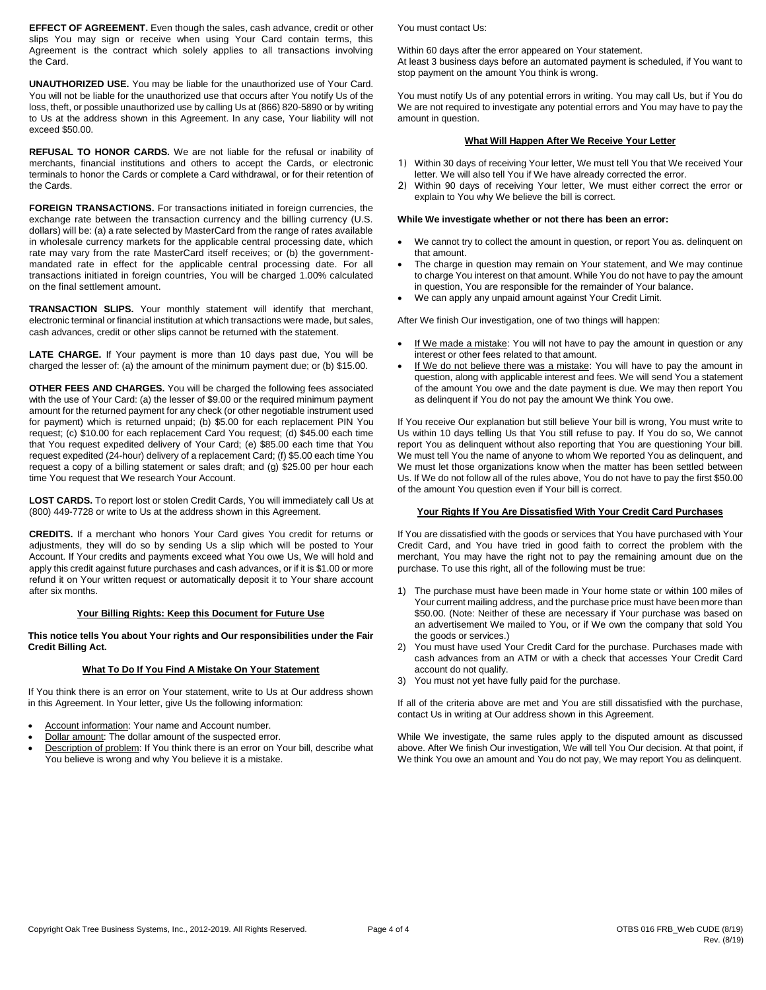**EFFECT OF AGREEMENT.** Even though the sales, cash advance, credit or other slips You may sign or receive when using Your Card contain terms, this Agreement is the contract which solely applies to all transactions involving the Card.

**UNAUTHORIZED USE.** You may be liable for the unauthorized use of Your Card. You will not be liable for the unauthorized use that occurs after You notify Us of the loss, theft, or possible unauthorized use by calling Us at (866) 820-5890 or by writing to Us at the address shown in this Agreement. In any case, Your liability will not exceed \$50.00.

**REFUSAL TO HONOR CARDS.** We are not liable for the refusal or inability of merchants, financial institutions and others to accept the Cards, or electronic terminals to honor the Cards or complete a Card withdrawal, or for their retention of the Cards.

**FOREIGN TRANSACTIONS.** For transactions initiated in foreign currencies, the exchange rate between the transaction currency and the billing currency (U.S. dollars) will be: (a) a rate selected by MasterCard from the range of rates available in wholesale currency markets for the applicable central processing date, which rate may vary from the rate MasterCard itself receives; or (b) the governmentmandated rate in effect for the applicable central processing date. For all transactions initiated in foreign countries, You will be charged 1.00% calculated on the final settlement amount.

**TRANSACTION SLIPS.** Your monthly statement will identify that merchant, electronic terminal or financial institution at which transactions were made, but sales, cash advances, credit or other slips cannot be returned with the statement.

**LATE CHARGE.** If Your payment is more than 10 days past due, You will be charged the lesser of: (a) the amount of the minimum payment due; or (b) \$15.00.

**OTHER FEES AND CHARGES.** You will be charged the following fees associated with the use of Your Card: (a) the lesser of \$9.00 or the required minimum payment amount for the returned payment for any check (or other negotiable instrument used for payment) which is returned unpaid; (b) \$5.00 for each replacement PIN You request; (c) \$10.00 for each replacement Card You request; (d) \$45.00 each time that You request expedited delivery of Your Card; (e) \$85.00 each time that You request expedited (24-hour) delivery of a replacement Card; (f) \$5.00 each time You request a copy of a billing statement or sales draft; and (g) \$25.00 per hour each time You request that We research Your Account.

**LOST CARDS.** To report lost or stolen Credit Cards, You will immediately call Us at (800) 449-7728 or write to Us at the address shown in this Agreement.

**CREDITS.** If a merchant who honors Your Card gives You credit for returns or adjustments, they will do so by sending Us a slip which will be posted to Your Account. If Your credits and payments exceed what You owe Us, We will hold and apply this credit against future purchases and cash advances, or if it is \$1.00 or more refund it on Your written request or automatically deposit it to Your share account after six months.

## **Your Billing Rights: Keep this Document for Future Use**

## **This notice tells You about Your rights and Our responsibilities under the Fair Credit Billing Act.**

#### **What To Do If You Find A Mistake On Your Statement**

If You think there is an error on Your statement, write to Us at Our address shown in this Agreement. In Your letter, give Us the following information:

- Account information: Your name and Account number.
- Dollar amount: The dollar amount of the suspected error.
- Description of problem: If You think there is an error on Your bill, describe what You believe is wrong and why You believe it is a mistake.

You must contact Us:

Within 60 days after the error appeared on Your statement. At least 3 business days before an automated payment is scheduled, if You want to stop payment on the amount You think is wrong.

You must notify Us of any potential errors in writing. You may call Us, but if You do We are not required to investigate any potential errors and You may have to pay the amount in question.

# **What Will Happen After We Receive Your Letter**

- 1) Within 30 days of receiving Your letter, We must tell You that We received Your letter. We will also tell You if We have already corrected the error.
- 2) Within 90 days of receiving Your letter, We must either correct the error or explain to You why We believe the bill is correct.

## **While We investigate whether or not there has been an error:**

- We cannot try to collect the amount in question, or report You as. delinquent on that amount.
- The charge in question may remain on Your statement, and We may continue to charge You interest on that amount. While You do not have to pay the amount in question, You are responsible for the remainder of Your balance.
- We can apply any unpaid amount against Your Credit Limit.

After We finish Our investigation, one of two things will happen:

- If We made a mistake: You will not have to pay the amount in question or any interest or other fees related to that amount.
- If We do not believe there was a mistake: You will have to pay the amount in question, along with applicable interest and fees. We will send You a statement of the amount You owe and the date payment is due. We may then report You as delinquent if You do not pay the amount We think You owe.

If You receive Our explanation but still believe Your bill is wrong, You must write to Us within 10 days telling Us that You still refuse to pay. If You do so, We cannot report You as delinquent without also reporting that You are questioning Your bill. We must tell You the name of anyone to whom We reported You as delinquent, and We must let those organizations know when the matter has been settled between Us. If We do not follow all of the rules above, You do not have to pay the first \$50.00 of the amount You question even if Your bill is correct.

### **Your Rights If You Are Dissatisfied With Your Credit Card Purchases**

If You are dissatisfied with the goods or services that You have purchased with Your Credit Card, and You have tried in good faith to correct the problem with the merchant, You may have the right not to pay the remaining amount due on the purchase. To use this right, all of the following must be true:

- 1) The purchase must have been made in Your home state or within 100 miles of Your current mailing address, and the purchase price must have been more than \$50.00. (Note: Neither of these are necessary if Your purchase was based on an advertisement We mailed to You, or if We own the company that sold You the goods or services.)
- 2) You must have used Your Credit Card for the purchase. Purchases made with cash advances from an ATM or with a check that accesses Your Credit Card account do not qualify.
- 3) You must not yet have fully paid for the purchase.

If all of the criteria above are met and You are still dissatisfied with the purchase, contact Us in writing at Our address shown in this Agreement.

While We investigate, the same rules apply to the disputed amount as discussed above. After We finish Our investigation, We will tell You Our decision. At that point, if We think You owe an amount and You do not pay, We may report You as delinquent.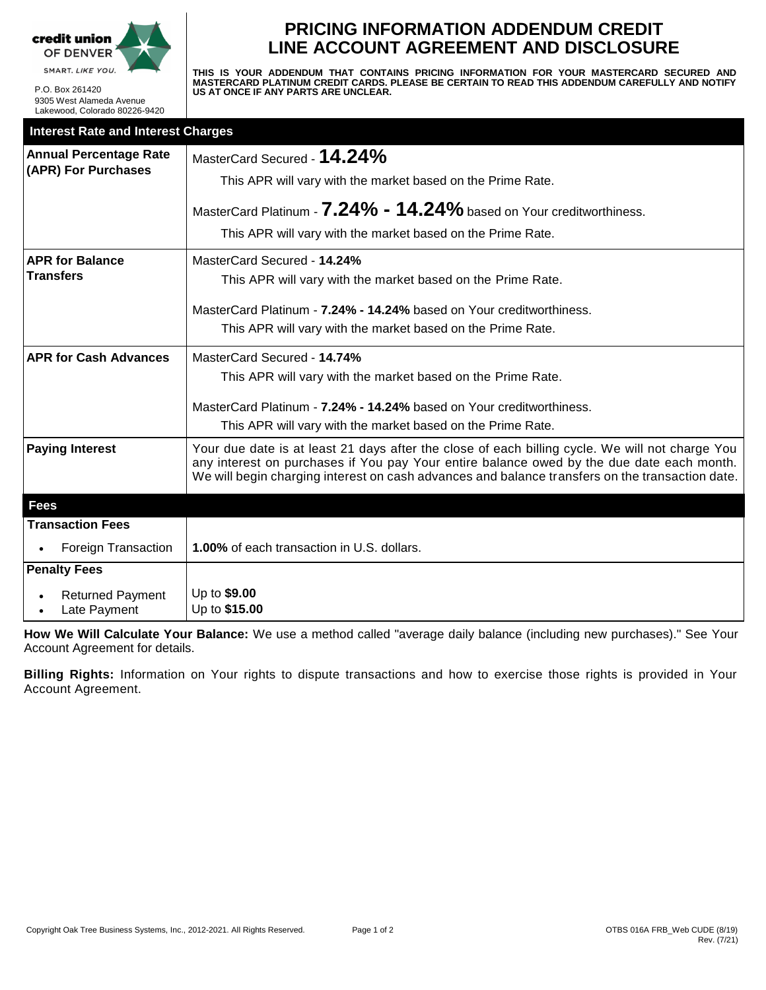

P.O. Box 261420 9305 West Alameda Avenue Lakewood, Colorado 80226-9420

# **PRICING INFORMATION ADDENDUM CREDIT LINE ACCOUNT AGREEMENT AND DISCLOSURE**

**THIS IS YOUR ADDENDUM THAT CONTAINS PRICING INFORMATION FOR YOUR MASTERCARD SECURED AND MASTERCARD PLATINUM CREDIT CARDS. PLEASE BE CERTAIN TO READ THIS ADDENDUM CAREFULLY AND NOTIFY US AT ONCE IF ANY PARTS ARE UNCLEAR.**

| <b>Interest Rate and Interest Charges</b>            |                                                                                                                                                                                                                                                                                                 |  |  |
|------------------------------------------------------|-------------------------------------------------------------------------------------------------------------------------------------------------------------------------------------------------------------------------------------------------------------------------------------------------|--|--|
| <b>Annual Percentage Rate</b><br>(APR) For Purchases | MasterCard Secured - 14.24%                                                                                                                                                                                                                                                                     |  |  |
|                                                      | This APR will vary with the market based on the Prime Rate.                                                                                                                                                                                                                                     |  |  |
|                                                      | MasterCard Platinum - 7.24% - 14.24% based on Your creditworthiness.                                                                                                                                                                                                                            |  |  |
|                                                      | This APR will vary with the market based on the Prime Rate.                                                                                                                                                                                                                                     |  |  |
| <b>APR for Balance</b>                               | MasterCard Secured - 14.24%                                                                                                                                                                                                                                                                     |  |  |
| <b>Transfers</b>                                     | This APR will vary with the market based on the Prime Rate.                                                                                                                                                                                                                                     |  |  |
|                                                      | MasterCard Platinum - 7.24% - 14.24% based on Your creditworthiness.                                                                                                                                                                                                                            |  |  |
|                                                      | This APR will vary with the market based on the Prime Rate.                                                                                                                                                                                                                                     |  |  |
| <b>APR for Cash Advances</b>                         | MasterCard Secured - 14.74%                                                                                                                                                                                                                                                                     |  |  |
|                                                      | This APR will vary with the market based on the Prime Rate.                                                                                                                                                                                                                                     |  |  |
|                                                      | MasterCard Platinum - 7.24% - 14.24% based on Your creditworthiness.                                                                                                                                                                                                                            |  |  |
|                                                      | This APR will vary with the market based on the Prime Rate.                                                                                                                                                                                                                                     |  |  |
| <b>Paying Interest</b>                               | Your due date is at least 21 days after the close of each billing cycle. We will not charge You<br>any interest on purchases if You pay Your entire balance owed by the due date each month.<br>We will begin charging interest on cash advances and balance transfers on the transaction date. |  |  |
| <b>Fees</b>                                          |                                                                                                                                                                                                                                                                                                 |  |  |
| <b>Transaction Fees</b>                              |                                                                                                                                                                                                                                                                                                 |  |  |
| <b>Foreign Transaction</b>                           | 1.00% of each transaction in U.S. dollars.                                                                                                                                                                                                                                                      |  |  |
| <b>Penalty Fees</b>                                  |                                                                                                                                                                                                                                                                                                 |  |  |
| <b>Returned Payment</b><br>Late Payment              | Up to \$9.00<br>Up to \$15.00                                                                                                                                                                                                                                                                   |  |  |

**How We Will Calculate Your Balance:** We use a method called "average daily balance (including new purchases)." See Your Account Agreement for details.

**Billing Rights:** Information on Your rights to dispute transactions and how to exercise those rights is provided in Your Account Agreement.